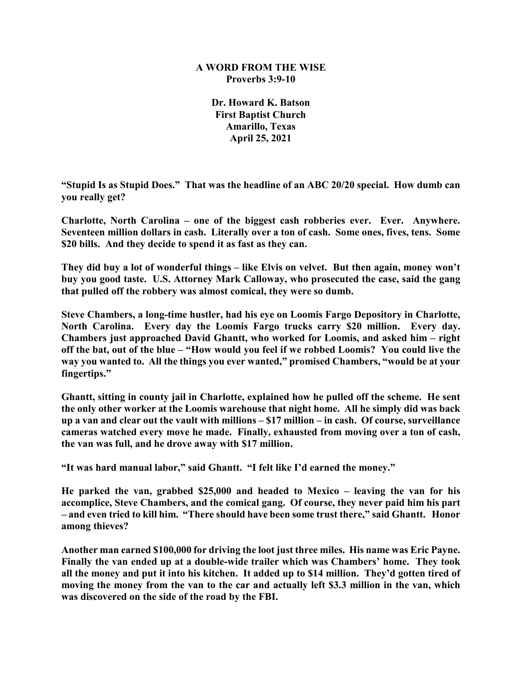### **A WORD FROM THE WISE Proverbs 3:9-10**

**Dr. Howard K. Batson First Baptist Church Amarillo, Texas April 25, 2021**

**"Stupid Is as Stupid Does." That was the headline of an ABC 20/20 special. How dumb can you really get?**

**Charlotte, North Carolina – one of the biggest cash robberies ever. Ever. Anywhere. Seventeen million dollars in cash. Literally over a ton of cash. Some ones, fives, tens. Some \$20 bills. And they decide to spend it as fast as they can.**

**They did buy a lot of wonderful things – like Elvis on velvet. But then again, money won't buy you good taste. U.S. Attorney Mark Calloway, who prosecuted the case, said the gang that pulled off the robbery was almost comical, they were so dumb.**

**Steve Chambers, a long-time hustler, had his eye on Loomis Fargo Depository in Charlotte, North Carolina. Every day the Loomis Fargo trucks carry \$20 million. Every day. Chambers just approached David Ghantt, who worked for Loomis, and asked him – right off the bat, out of the blue – "How would you feel if we robbed Loomis? You could live the way you wanted to. All the things you ever wanted," promised Chambers, "would be at your fingertips."**

**Ghantt, sitting in county jail in Charlotte, explained how he pulled off the scheme. He sent the only other worker at the Loomis warehouse that night home. All he simply did was back up a van and clear out the vault with millions – \$17 million – in cash. Of course, surveillance cameras watched every move he made. Finally, exhausted from moving over a ton of cash, the van was full, and he drove away with \$17 million.**

**"It was hard manual labor," said Ghantt. "I felt like I'd earned the money."**

**He parked the van, grabbed \$25,000 and headed to Mexico – leaving the van for his accomplice, Steve Chambers, and the comical gang. Of course, they never paid him his part – and even tried to kill him. "There should have been some trust there," said Ghantt. Honor among thieves?**

**Another man earned \$100,000 for driving the loot just three miles. His name was Eric Payne. Finally the van ended up at a double-wide trailer which was Chambers' home. They took all the money and put it into his kitchen. It added up to \$14 million. They'd gotten tired of moving the money from the van to the car and actually left \$3.3 million in the van, which was discovered on the side of the road by the FBI.**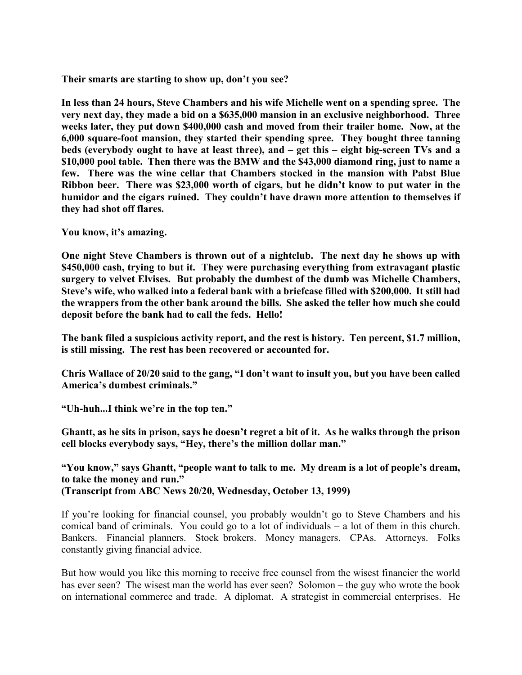**Their smarts are starting to show up, don't you see?**

**In less than 24 hours, Steve Chambers and his wife Michelle went on a spending spree. The very next day, they made a bid on a \$635,000 mansion in an exclusive neighborhood. Three weeks later, they put down \$400,000 cash and moved from their trailer home. Now, at the 6,000 square-foot mansion, they started their spending spree. They bought three tanning beds (everybody ought to have at least three), and – get this – eight big-screen TVs and a \$10,000 pool table. Then there was the BMW and the \$43,000 diamond ring, just to name a few. There was the wine cellar that Chambers stocked in the mansion with Pabst Blue Ribbon beer. There was \$23,000 worth of cigars, but he didn't know to put water in the humidor and the cigars ruined. They couldn't have drawn more attention to themselves if they had shot off flares.**

**You know, it's amazing.**

**One night Steve Chambers is thrown out of a nightclub. The next day he shows up with \$450,000 cash, trying to but it. They were purchasing everything from extravagant plastic surgery to velvet Elvises. But probably the dumbest of the dumb was Michelle Chambers, Steve's wife, who walked into a federal bank with a briefcase filled with \$200,000. It still had the wrappers from the other bank around the bills. She asked the teller how much she could deposit before the bank had to call the feds. Hello!**

**The bank filed a suspicious activity report, and the rest is history. Ten percent, \$1.7 million, is still missing. The rest has been recovered or accounted for.**

**Chris Wallace of 20/20 said to the gang, "I don't want to insult you, but you have been called America's dumbest criminals."**

**"Uh-huh...I think we're in the top ten."**

**Ghantt, as he sits in prison, says he doesn't regret a bit of it. As he walks through the prison cell blocks everybody says, "Hey, there's the million dollar man."** 

**"You know," says Ghantt, "people want to talk to me. My dream is a lot of people's dream, to take the money and run." (Transcript from ABC News 20/20, Wednesday, October 13, 1999)**

If you're looking for financial counsel, you probably wouldn't go to Steve Chambers and his comical band of criminals. You could go to a lot of individuals – a lot of them in this church. Bankers. Financial planners. Stock brokers. Money managers. CPAs. Attorneys. Folks constantly giving financial advice.

But how would you like this morning to receive free counsel from the wisest financier the world has ever seen? The wisest man the world has ever seen? Solomon – the guy who wrote the book on international commerce and trade. A diplomat. A strategist in commercial enterprises. He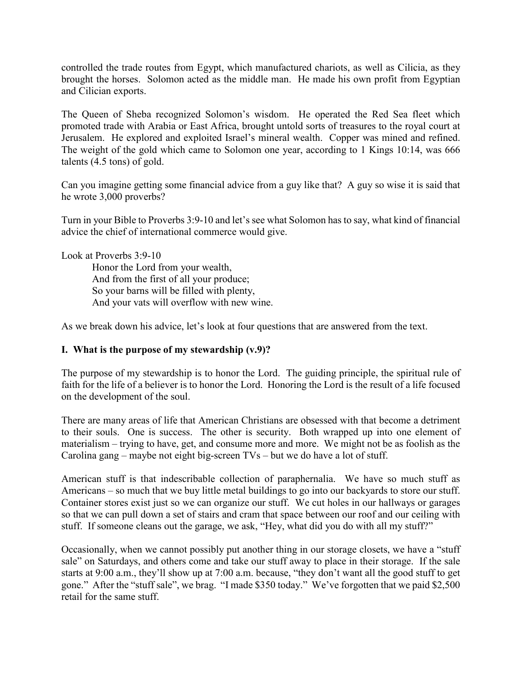controlled the trade routes from Egypt, which manufactured chariots, as well as Cilicia, as they brought the horses. Solomon acted as the middle man. He made his own profit from Egyptian and Cilician exports.

The Queen of Sheba recognized Solomon's wisdom. He operated the Red Sea fleet which promoted trade with Arabia or East Africa, brought untold sorts of treasures to the royal court at Jerusalem. He explored and exploited Israel's mineral wealth. Copper was mined and refined. The weight of the gold which came to Solomon one year, according to 1 Kings 10:14, was 666 talents (4.5 tons) of gold.

Can you imagine getting some financial advice from a guy like that? A guy so wise it is said that he wrote 3,000 proverbs?

Turn in your Bible to Proverbs 3:9-10 and let's see what Solomon has to say, what kind of financial advice the chief of international commerce would give.

Look at Proverbs 3:9-10

Honor the Lord from your wealth, And from the first of all your produce; So your barns will be filled with plenty, And your vats will overflow with new wine.

As we break down his advice, let's look at four questions that are answered from the text.

### **I. What is the purpose of my stewardship (v.9)?**

The purpose of my stewardship is to honor the Lord. The guiding principle, the spiritual rule of faith for the life of a believer is to honor the Lord. Honoring the Lord is the result of a life focused on the development of the soul.

There are many areas of life that American Christians are obsessed with that become a detriment to their souls. One is success. The other is security. Both wrapped up into one element of materialism – trying to have, get, and consume more and more. We might not be as foolish as the Carolina gang – maybe not eight big-screen TVs – but we do have a lot of stuff.

American stuff is that indescribable collection of paraphernalia. We have so much stuff as Americans – so much that we buy little metal buildings to go into our backyards to store our stuff. Container stores exist just so we can organize our stuff. We cut holes in our hallways or garages so that we can pull down a set of stairs and cram that space between our roof and our ceiling with stuff. If someone cleans out the garage, we ask, "Hey, what did you do with all my stuff?"

Occasionally, when we cannot possibly put another thing in our storage closets, we have a "stuff sale" on Saturdays, and others come and take our stuff away to place in their storage. If the sale starts at 9:00 a.m., they'll show up at 7:00 a.m. because, "they don't want all the good stuff to get gone." After the "stuff sale", we brag. "I made \$350 today." We've forgotten that we paid \$2,500 retail for the same stuff.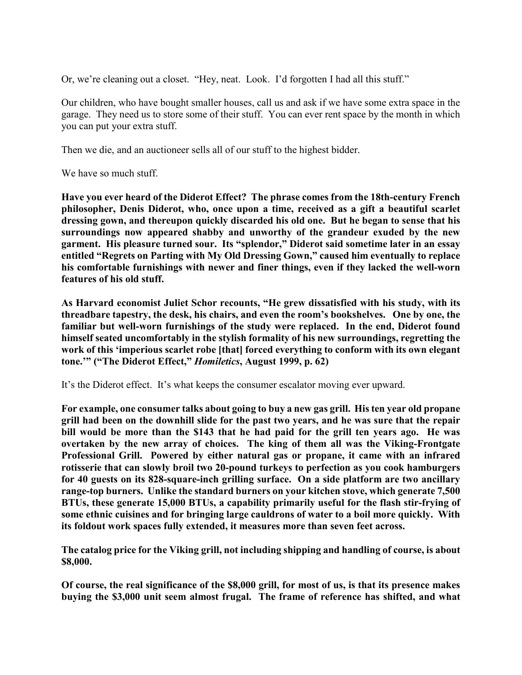Or, we're cleaning out a closet. "Hey, neat. Look. I'd forgotten I had all this stuff."

Our children, who have bought smaller houses, call us and ask if we have some extra space in the garage. They need us to store some of their stuff. You can ever rent space by the month in which you can put your extra stuff.

Then we die, and an auctioneer sells all of our stuff to the highest bidder.

We have so much stuff.

**Have you ever heard of the Diderot Effect? The phrase comes from the 18th-century French philosopher, Denis Diderot, who, once upon a time, received as a gift a beautiful scarlet dressing gown, and thereupon quickly discarded his old one. But he began to sense that his surroundings now appeared shabby and unworthy of the grandeur exuded by the new garment. His pleasure turned sour. Its "splendor," Diderot said sometime later in an essay entitled "Regrets on Parting with My Old Dressing Gown," caused him eventually to replace his comfortable furnishings with newer and finer things, even if they lacked the well-worn features of his old stuff.**

**As Harvard economist Juliet Schor recounts, "He grew dissatisfied with his study, with its threadbare tapestry, the desk, his chairs, and even the room's bookshelves. One by one, the familiar but well-worn furnishings of the study were replaced. In the end, Diderot found himself seated uncomfortably in the stylish formality of his new surroundings, regretting the work of this 'imperious scarlet robe [that] forced everything to conform with its own elegant tone.'" ("The Diderot Effect,"** *Homiletics***, August 1999, p. 62)**

It's the Diderot effect. It's what keeps the consumer escalator moving ever upward.

**For example, one consumer talks about going to buy a new gas grill. His ten year old propane grill had been on the downhill slide for the past two years, and he was sure that the repair bill would be more than the \$143 that he had paid for the grill ten years ago. He was overtaken by the new array of choices. The king of them all was the Viking-Frontgate Professional Grill. Powered by either natural gas or propane, it came with an infrared rotisserie that can slowly broil two 20-pound turkeys to perfection as you cook hamburgers for 40 guests on its 828-square-inch grilling surface. On a side platform are two ancillary range-top burners. Unlike the standard burners on your kitchen stove, which generate 7,500 BTUs, these generate 15,000 BTUs, a capability primarily useful for the flash stir-frying of some ethnic cuisines and for bringing large cauldrons of water to a boil more quickly. With its foldout work spaces fully extended, it measures more than seven feet across.**

**The catalog price for the Viking grill, not including shipping and handling of course, is about \$8,000.** 

**Of course, the real significance of the \$8,000 grill, for most of us, is that its presence makes buying the \$3,000 unit seem almost frugal. The frame of reference has shifted, and what**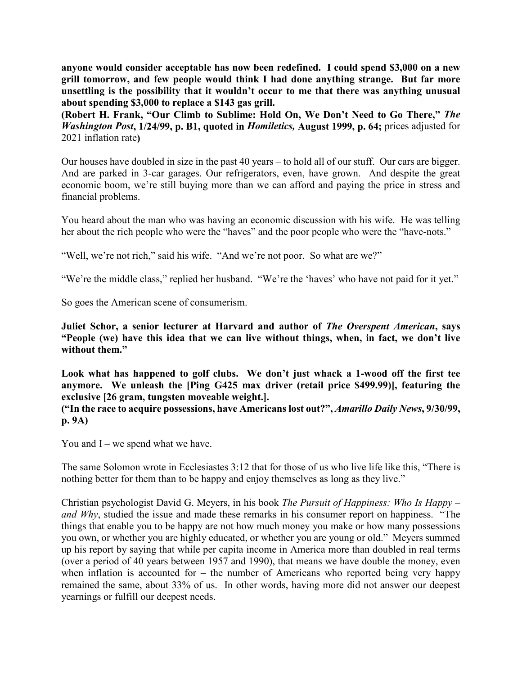**anyone would consider acceptable has now been redefined. I could spend \$3,000 on a new grill tomorrow, and few people would think I had done anything strange. But far more unsettling is the possibility that it wouldn't occur to me that there was anything unusual about spending \$3,000 to replace a \$143 gas grill.** 

**(Robert H. Frank, "Our Climb to Sublime: Hold On, We Don't Need to Go There,"** *The Washington Post***, 1/24/99, p. B1, quoted in** *Homiletics,* **August 1999, p. 64;** prices adjusted for 2021 inflation rate**)**

Our houses have doubled in size in the past 40 years – to hold all of our stuff. Our cars are bigger. And are parked in 3-car garages. Our refrigerators, even, have grown. And despite the great economic boom, we're still buying more than we can afford and paying the price in stress and financial problems.

You heard about the man who was having an economic discussion with his wife. He was telling her about the rich people who were the "haves" and the poor people who were the "have-nots."

"Well, we're not rich," said his wife. "And we're not poor. So what are we?"

"We're the middle class," replied her husband. "We're the 'haves' who have not paid for it yet."

So goes the American scene of consumerism.

**Juliet Schor, a senior lecturer at Harvard and author of** *The Overspent American***, says "People (we) have this idea that we can live without things, when, in fact, we don't live without them."**

**Look what has happened to golf clubs. We don't just whack a 1-wood off the first tee anymore. We unleash the [Ping G425 max driver (retail price \$499.99)], featuring the exclusive [26 gram, tungsten moveable weight.].**

**("In the race to acquire possessions, have Americans lost out?",** *Amarillo Daily News***, 9/30/99, p. 9A)**

You and  $I$  – we spend what we have.

The same Solomon wrote in Ecclesiastes 3:12 that for those of us who live life like this, "There is nothing better for them than to be happy and enjoy themselves as long as they live."

Christian psychologist David G. Meyers, in his book *The Pursuit of Happiness: Who Is Happy – and Why*, studied the issue and made these remarks in his consumer report on happiness. "The things that enable you to be happy are not how much money you make or how many possessions you own, or whether you are highly educated, or whether you are young or old." Meyers summed up his report by saying that while per capita income in America more than doubled in real terms (over a period of 40 years between 1957 and 1990), that means we have double the money, even when inflation is accounted for – the number of Americans who reported being very happy remained the same, about 33% of us. In other words, having more did not answer our deepest yearnings or fulfill our deepest needs.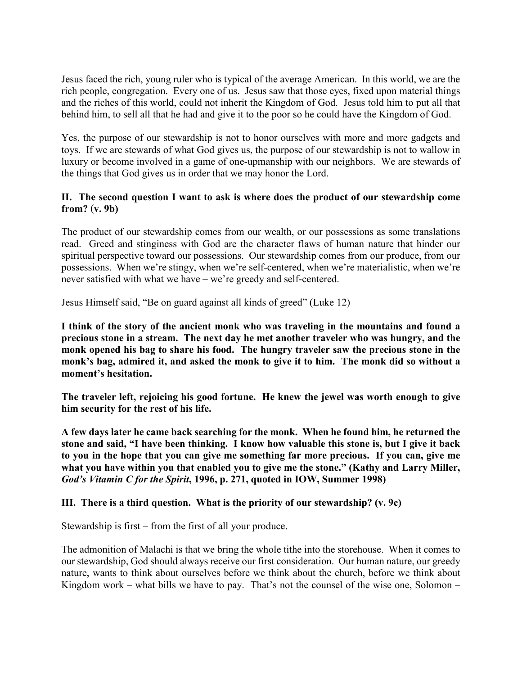Jesus faced the rich, young ruler who is typical of the average American. In this world, we are the rich people, congregation. Every one of us. Jesus saw that those eyes, fixed upon material things and the riches of this world, could not inherit the Kingdom of God. Jesus told him to put all that behind him, to sell all that he had and give it to the poor so he could have the Kingdom of God.

Yes, the purpose of our stewardship is not to honor ourselves with more and more gadgets and toys. If we are stewards of what God gives us, the purpose of our stewardship is not to wallow in luxury or become involved in a game of one-upmanship with our neighbors. We are stewards of the things that God gives us in order that we may honor the Lord.

# **II. The second question I want to ask is where does the product of our stewardship come from?** (**v. 9b)**

The product of our stewardship comes from our wealth, or our possessions as some translations read. Greed and stinginess with God are the character flaws of human nature that hinder our spiritual perspective toward our possessions. Our stewardship comes from our produce, from our possessions. When we're stingy, when we're self-centered, when we're materialistic, when we're never satisfied with what we have – we're greedy and self-centered.

Jesus Himself said, "Be on guard against all kinds of greed" (Luke 12)

**I think of the story of the ancient monk who was traveling in the mountains and found a precious stone in a stream. The next day he met another traveler who was hungry, and the monk opened his bag to share his food. The hungry traveler saw the precious stone in the monk's bag, admired it, and asked the monk to give it to him. The monk did so without a moment's hesitation.**

**The traveler left, rejoicing his good fortune. He knew the jewel was worth enough to give him security for the rest of his life.**

**A few days later he came back searching for the monk. When he found him, he returned the stone and said, "I have been thinking. I know how valuable this stone is, but I give it back to you in the hope that you can give me something far more precious. If you can, give me what you have within you that enabled you to give me the stone." (Kathy and Larry Miller,**  *God's Vitamin C for the Spirit***, 1996, p. 271, quoted in IOW, Summer 1998)**

## **III. There is a third question. What is the priority of our stewardship? (v. 9c)**

Stewardship is first – from the first of all your produce.

The admonition of Malachi is that we bring the whole tithe into the storehouse. When it comes to our stewardship, God should always receive our first consideration. Our human nature, our greedy nature, wants to think about ourselves before we think about the church, before we think about Kingdom work – what bills we have to pay. That's not the counsel of the wise one, Solomon –